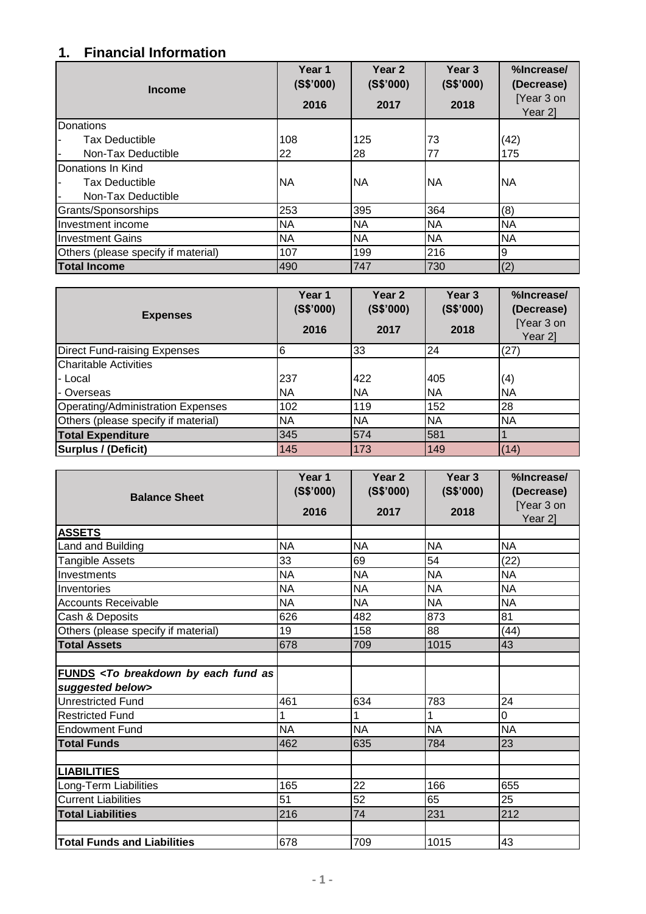## **1. Financial Information**

| <b>Income</b>                       | Year 1<br>(S\$'000)<br>2016 | Year <sub>2</sub><br>(S\$'000)<br>2017 | Year <sub>3</sub><br>(S\$'000)<br>2018 | %Increase/<br>(Decrease)<br>[Year 3 on<br>Year 2] |
|-------------------------------------|-----------------------------|----------------------------------------|----------------------------------------|---------------------------------------------------|
| Donations                           |                             |                                        |                                        |                                                   |
| <b>Tax Deductible</b>               | 108                         | 125                                    | 73                                     | (42)                                              |
| Non-Tax Deductible                  | 22                          | 28                                     | 77                                     | 175                                               |
| Donations In Kind                   |                             |                                        |                                        |                                                   |
| <b>Tax Deductible</b>               | <b>NA</b>                   | <b>NA</b>                              | <b>NA</b>                              | <b>INA</b>                                        |
| Non-Tax Deductible                  |                             |                                        |                                        |                                                   |
| Grants/Sponsorships                 | 253                         | 395                                    | 364                                    | (8)                                               |
| Investment income                   | <b>NA</b>                   | <b>NA</b>                              | <b>NA</b>                              | <b>NA</b>                                         |
| <b>Investment Gains</b>             | <b>NA</b>                   | <b>NA</b>                              | <b>NA</b>                              | <b>NA</b>                                         |
| Others (please specify if material) | 107                         | 199                                    | 216                                    | 9                                                 |
| <b>Total Income</b>                 | 490                         | 747                                    | 730                                    | (2)                                               |

| <b>Expenses</b>                     | Year 1<br>(S\$'000)<br>2016 | Year <sub>2</sub><br>(S\$'000)<br>2017 | Year <sub>3</sub><br>(S\$'000)<br>2018 | %Increase/<br>(Decrease)<br>[Year 3 on<br>Year 2] |
|-------------------------------------|-----------------------------|----------------------------------------|----------------------------------------|---------------------------------------------------|
| <b>Direct Fund-raising Expenses</b> | 6                           | 33                                     | 24                                     | (27)                                              |
| <b>Charitable Activities</b>        |                             |                                        |                                        |                                                   |
| l- Local                            | 237                         | 422                                    | 405                                    | (4)                                               |
| I- Overseas                         | <b>NA</b>                   | <b>NA</b>                              | NA                                     | <b>NA</b>                                         |
| Operating/Administration Expenses   | 102                         | 119                                    | 152                                    | 28                                                |
| Others (please specify if material) | <b>NA</b>                   | <b>NA</b>                              | NA                                     | <b>NA</b>                                         |
| <b>Total Expenditure</b>            | 345                         | 574                                    | 581                                    |                                                   |
| <b>Surplus / (Deficit)</b>          | 145                         | 173                                    | 149                                    | (14)                                              |

| <b>Balance Sheet</b>                                                           | Year 1<br>(S\$'000)<br>2016 | Year <sub>2</sub><br>(S\$'000)<br>2017 | Year <sub>3</sub><br>(S\$'000)<br>2018 | %Increase/<br>(Decrease)<br>[Year 3 on<br>Year 2] |
|--------------------------------------------------------------------------------|-----------------------------|----------------------------------------|----------------------------------------|---------------------------------------------------|
| <b>ASSETS</b>                                                                  |                             |                                        |                                        |                                                   |
| Land and Building                                                              | <b>NA</b>                   | <b>NA</b>                              | <b>NA</b>                              | <b>NA</b>                                         |
| Tangible Assets                                                                | 33                          | 69                                     | 54                                     | (22)                                              |
| Investments                                                                    | <b>NA</b>                   | <b>NA</b>                              | <b>NA</b>                              | ΝA                                                |
| Inventories                                                                    | <b>NA</b>                   | <b>NA</b>                              | <b>NA</b>                              | <b>NA</b>                                         |
| <b>Accounts Receivable</b>                                                     | <b>NA</b>                   | <b>NA</b>                              | <b>NA</b>                              | <b>NA</b>                                         |
| Cash & Deposits                                                                | 626                         | 482                                    | 873                                    | 81                                                |
| Others (please specify if material)                                            | 19                          | 158                                    | 88                                     | (44)                                              |
| <b>Total Assets</b>                                                            | 678                         | 709                                    | 1015                                   | 43                                                |
|                                                                                |                             |                                        |                                        |                                                   |
| FUNDS <to as<br="" breakdown="" by="" each="" fund="">suggested below&gt;</to> |                             |                                        |                                        |                                                   |
| <b>Unrestricted Fund</b>                                                       | 461                         | 634                                    | 783                                    | 24                                                |
| <b>Restricted Fund</b>                                                         | 1                           |                                        |                                        | 0                                                 |
| <b>Endowment Fund</b>                                                          | <b>NA</b>                   | <b>NA</b>                              | <b>NA</b>                              | <b>NA</b>                                         |
| <b>Total Funds</b>                                                             | 462                         | 635                                    | 784                                    | 23                                                |
|                                                                                |                             |                                        |                                        |                                                   |
| <b>LIABILITIES</b>                                                             |                             |                                        |                                        |                                                   |
| Long-Term Liabilities                                                          | 165                         | 22                                     | 166                                    | 655                                               |
| <b>Current Liabilities</b>                                                     | 51                          | 52                                     | 65                                     | 25                                                |
| <b>Total Liabilities</b>                                                       | 216                         | 74                                     | 231                                    | 212                                               |
|                                                                                |                             |                                        |                                        |                                                   |
| <b>Total Funds and Liabilities</b>                                             | 678                         | 709                                    | 1015                                   | 43                                                |